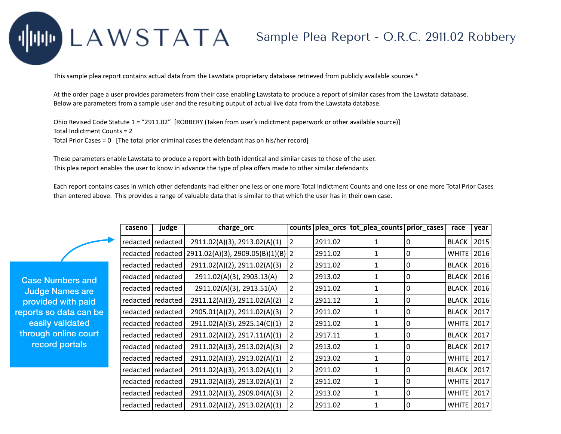## LAWSTATA

## Sample Plea Report - O.R.C. 2911.02 Robbery

This sample plea report contains actual data from the Lawstata proprietary database retrieved from publicly available sources.\*

At the order page a user provides parameters from their case enabling Lawstata to produce a report of similar cases from the Lawstata database. Below are parameters from a sample user and the resulting output of actual live data from the Lawstata database.

Ohio Revised Code Statute 1 = "2911.02" [ROBBERY (Taken from user's indictment paperwork or other available source)] Total Indictment Counts = 2 Total Prior Cases = 0 [The total prior criminal cases the defendant has on his/her record]

These parameters enable Lawstata to produce a report with both identical and similar cases to those of the user. This plea report enables the user to know in advance the type of plea offers made to other similar defendants

Each report contains cases in which other defendants had either one less or one more Total Indictment Counts and one less or one more Total Prior Cases than entered above. This provides a range of valuable data that is similar to that which the user has in their own case.

|              | caseno | judge               | charge_orc                          |   |         | counts   plea_orcs   tot_plea_counts   prior_cases |   | race         | year |
|--------------|--------|---------------------|-------------------------------------|---|---------|----------------------------------------------------|---|--------------|------|
|              |        | redacted redacted   | 2911.02(A)(3), 2913.02(A)(1)        | 2 | 2911.02 | 1                                                  | 0 | <b>BLACK</b> | 2015 |
|              |        | redacted   redacted | $2911.02(A)(3), 2909.05(B)(1)(B)$ 2 |   | 2911.02 | 1                                                  | 0 | <b>WHITE</b> | 2016 |
|              |        | redacted redacted   | 2911.02(A)(2), 2911.02(A)(3)        | 2 | 2911.02 | 1                                                  | 0 | <b>BLACK</b> | 2016 |
| and          |        | redacted   redacted | 2911.02(A)(3), 2903.13(A)           | 2 | 2913.02 | 1                                                  | 0 | <b>BLACK</b> | 2016 |
| are          |        | redacted   redacted | 2911.02(A)(3), 2913.51(A)           | 2 | 2911.02 | 1                                                  | 0 | <b>BLACK</b> | 2016 |
| aid          |        | redacted   redacted | 2911.12(A)(3), 2911.02(A)(2)        | 2 | 2911.12 | 1                                                  | 0 | <b>BLACK</b> | 2016 |
| an bel       |        | redacted   redacted | 2905.01(A)(2), 2911.02(A)(3)        | 2 | 2911.02 | 1                                                  | 0 | <b>BLACK</b> | 2017 |
| $\mathsf{d}$ |        | redacted   redacted | 2911.02(A)(3), 2925.14(C)(1)        | 2 | 2911.02 | 1                                                  | 0 | <b>WHITE</b> | 2017 |
| ourt         |        | redacted   redacted | 2911.02(A)(2), 2917.11(A)(1)        | 2 | 2917.11 | 1                                                  | 0 | <b>BLACK</b> | 2017 |
| 3,           |        | redacted redacted   | 2911.02(A)(3), 2913.02(A)(3)        | 2 | 2913.02 | 1                                                  | 0 | <b>BLACK</b> | 2017 |
|              |        | redacted redacted   | 2911.02(A)(3), 2913.02(A)(1)        | 2 | 2913.02 | 1                                                  | 0 | <b>WHITE</b> | 2017 |
|              |        | redacted   redacted | 2911.02(A)(3), 2913.02(A)(1)        | 2 | 2911.02 | 1                                                  | 0 | <b>BLACK</b> | 2017 |
|              |        | redacted redacted   | 2911.02(A)(3), 2913.02(A)(1)        | 2 | 2911.02 | 1                                                  | 0 | <b>WHITE</b> | 2017 |
|              |        | redacted   redacted | 2911.02(A)(3), 2909.04(A)(3)        | 2 | 2913.02 | 1                                                  | 0 | <b>WHITE</b> | 2017 |
|              |        | redacted   redacted | 2911.02(A)(2), 2913.02(A)(1)        | 2 | 2911.02 | 1                                                  | 0 | <b>WHITE</b> | 2017 |

**Case Numbers Judge Names** provided with p reports so data ca easily validate through online co record portals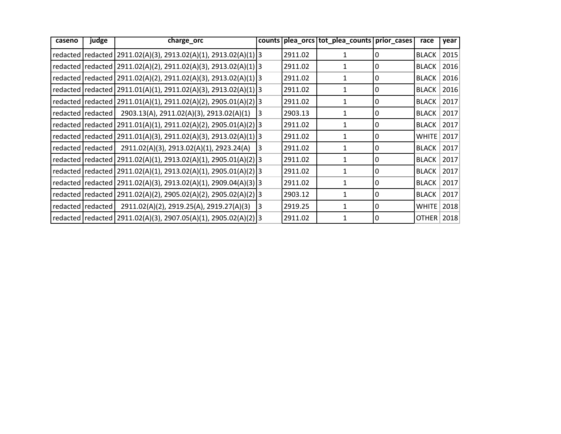| caseno | judge               | charge_orc                                                            |    |         | counts   plea_orcs   tot_plea_counts   prior_cases |   | race         | year |
|--------|---------------------|-----------------------------------------------------------------------|----|---------|----------------------------------------------------|---|--------------|------|
|        |                     | redacted   redacted   2911.02(A)(3), 2913.02(A)(1), 2913.02(A)(1)   3 |    | 2911.02 |                                                    | 0 | <b>BLACK</b> | 2015 |
|        |                     | redacted   redacted   2911.02(A)(2), 2911.02(A)(3), 2913.02(A)(1)   3 |    | 2911.02 |                                                    | 0 | <b>BLACK</b> | 2016 |
|        |                     | redacted   redacted   2911.02(A)(2), 2911.02(A)(3), 2913.02(A)(1)   3 |    | 2911.02 |                                                    | 0 | <b>BLACK</b> | 2016 |
|        |                     | redacted   redacted   2911.01(A)(1), 2911.02(A)(3), 2913.02(A)(1) 3   |    | 2911.02 | 1                                                  | 0 | <b>BLACK</b> | 2016 |
|        |                     | redacted   redacted   2911.01(A)(1), 2911.02(A)(2), 2905.01(A)(2)   3 |    | 2911.02 | $\mathbf{1}$                                       | 0 | <b>BLACK</b> | 2017 |
|        | redacted   redacted | 2903.13(A), 2911.02(A)(3), 2913.02(A)(1)                              | 13 | 2903.13 |                                                    | 0 | <b>BLACK</b> | 2017 |
|        |                     | redacted   redacted   2911.01(A)(1), 2911.02(A)(2), 2905.01(A)(2)   3 |    | 2911.02 | 1                                                  | 0 | <b>BLACK</b> | 2017 |
|        |                     | redacted   redacted   2911.01(A)(3), 2911.02(A)(3), 2913.02(A)(1)   3 |    | 2911.02 | 1                                                  | 0 | <b>WHITE</b> | 2017 |
|        | redacted   redacted | 2911.02(A)(3), 2913.02(A)(1), 2923.24(A)                              | 13 | 2911.02 |                                                    | 0 | <b>BLACK</b> | 2017 |
|        |                     | redacted   redacted   2911.02(A)(1), 2913.02(A)(1), 2905.01(A)(2) 3   |    | 2911.02 | 1                                                  | 0 | <b>BLACK</b> | 2017 |
|        |                     | redacted   redacted   2911.02(A)(1), 2913.02(A)(1), 2905.01(A)(2)   3 |    | 2911.02 | 1                                                  | 0 | <b>BLACK</b> | 2017 |
|        |                     | redacted   redacted   2911.02(A)(3), 2913.02(A)(1), 2909.04(A)(3)   3 |    | 2911.02 |                                                    | 0 | <b>BLACK</b> | 2017 |
|        |                     | redacted   redacted   2911.02(A)(2), 2905.02(A)(2), 2905.02(A)(2) 3   |    | 2903.12 |                                                    | 0 | <b>BLACK</b> | 2017 |
|        |                     | redacted   redacted   2911.02(A)(2), 2919.25(A), 2919.27(A)(3)        | 3  | 2919.25 | 1                                                  | 0 | <b>WHITE</b> | 2018 |
|        |                     | redacted   redacted   2911.02(A)(3), 2907.05(A)(1), 2905.02(A)(2)   3 |    | 2911.02 | 1                                                  | 0 | OTHER        | 2018 |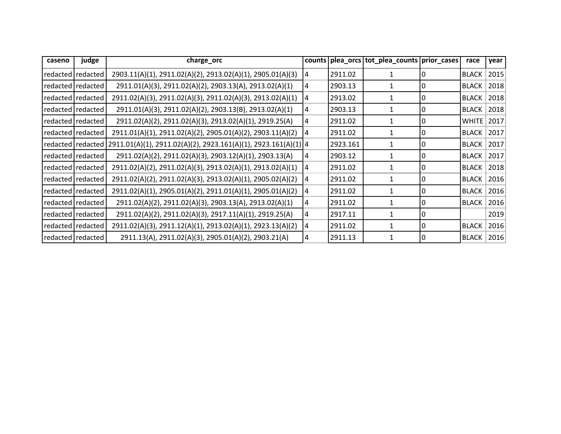| caseno              | judge               | charge_orc                                                     |    |          | counts   plea_orcs   tot_plea_counts   prior_cases |          | race         | year |
|---------------------|---------------------|----------------------------------------------------------------|----|----------|----------------------------------------------------|----------|--------------|------|
| redacted   redacted |                     | 2903.11(A)(1), 2911.02(A)(2), 2913.02(A)(1), 2905.01(A)(3)     | 14 | 2911.02  |                                                    |          | <b>BLACK</b> | 2015 |
|                     | redacted redacted   | 2911.01(A)(3), 2911.02(A)(2), 2903.13(A), 2913.02(A)(1)        | 4  | 2903.13  |                                                    |          | <b>BLACK</b> | 2018 |
|                     | redacted redacted   | 2911.02(A)(3), 2911.02(A)(3), 2911.02(A)(3), 2913.02(A)(1)     | 14 | 2913.02  |                                                    | 0        | <b>BLACK</b> | 2018 |
|                     | redacted   redacted | 2911.01(A)(3), 2911.02(A)(2), 2903.13(B), 2913.02(A)(1)        | 4  | 2903.13  |                                                    |          | <b>BLACK</b> | 2018 |
|                     | redacted redacted   | 2911.02(A)(2), 2911.02(A)(3), 2913.02(A)(1), 2919.25(A)        | 4  | 2911.02  |                                                    | 0        | WHITE        | 2017 |
|                     | redacted   redacted | 2911.01(A)(1), 2911.02(A)(2), 2905.01(A)(2), 2903.11(A)(2)     | 14 | 2911.02  |                                                    | 0        | <b>BLACK</b> | 2017 |
|                     | redacted   redacted | 2911.01(A)(1), 2911.02(A)(2), 2923.161(A)(1), 2923.161(A)(1) 4 |    | 2923.161 |                                                    |          | <b>BLACK</b> | 2017 |
|                     | redacted redacted   | 2911.02(A)(2), 2911.02(A)(3), 2903.12(A)(1), 2903.13(A)        | 14 | 2903.12  |                                                    | $\Omega$ | <b>BLACK</b> | 2017 |
|                     | redacted   redacted | 2911.02(A)(2), 2911.02(A)(3), 2913.02(A)(1), 2913.02(A)(1)     | 14 | 2911.02  |                                                    |          | <b>BLACK</b> | 2018 |
|                     | redacted   redacted | 2911.02(A)(2), 2911.02(A)(3), 2913.02(A)(1), 2905.02(A)(2)     | 14 | 2911.02  |                                                    |          | <b>BLACK</b> | 2016 |
| redacted redacted   |                     | 2911.02(A)(1), 2905.01(A)(2), 2911.01(A)(1), 2905.01(A)(2)     | 14 | 2911.02  |                                                    | 0        | <b>BLACK</b> | 2016 |
|                     | redacted   redacted | 2911.02(A)(2), 2911.02(A)(3), 2903.13(A), 2913.02(A)(1)        | 4  | 2911.02  |                                                    |          | <b>BLACK</b> | 2016 |
|                     | redacted redacted   | 2911.02(A)(2), 2911.02(A)(3), 2917.11(A)(1), 2919.25(A)        | 4  | 2917.11  |                                                    |          |              | 2019 |
| redacted redacted   |                     | 2911.02(A)(3), 2911.12(A)(1), 2913.02(A)(1), 2923.13(A)(2)     | 14 | 2911.02  | 1                                                  | 0        | <b>BLACK</b> | 2016 |
|                     | redacted redacted   | 2911.13(A), 2911.02(A)(3), 2905.01(A)(2), 2903.21(A)           | 14 | 2911.13  |                                                    | 0        | <b>BLACK</b> | 2016 |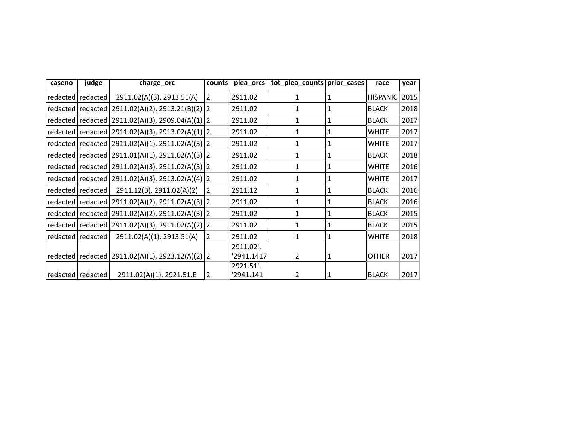| caseno            | judge               | charge_orc                                             | counts         | plea_orcs  | tot_plea_counts   prior_cases |   | race            | year |
|-------------------|---------------------|--------------------------------------------------------|----------------|------------|-------------------------------|---|-----------------|------|
|                   | redacted   redacted | 2911.02(A)(3), 2913.51(A)                              | $\overline{2}$ | 2911.02    | 1                             | 1 | <b>HISPANIC</b> | 2015 |
|                   |                     | redacted   redacted   2911.02(A)(2), 2913.21(B)(2)   2 |                | 2911.02    | 1                             | 1 | <b>BLACK</b>    | 2018 |
|                   |                     | redacted   redacted   2911.02(A)(3), 2909.04(A)(1)   2 |                | 2911.02    | 1                             | 1 | <b>BLACK</b>    | 2017 |
|                   |                     | redacted   redacted   2911.02(A)(3), 2913.02(A)(1)   2 |                | 2911.02    | 1                             | 1 | <b>WHITE</b>    | 2017 |
|                   |                     | redacted   redacted   2911.02(A)(1), 2911.02(A)(3)   2 |                | 2911.02    | 1                             | 1 | <b>WHITE</b>    | 2017 |
|                   |                     | redacted   redacted   2911.01(A)(1), 2911.02(A)(3)   2 |                | 2911.02    | 1                             | 1 | <b>BLACK</b>    | 2018 |
|                   |                     | redacted   redacted   2911.02(A)(3), 2911.02(A)(3)   2 |                | 2911.02    | 1                             | 1 | <b>WHITE</b>    | 2016 |
|                   |                     | redacted   redacted   2911.02(A)(3), 2913.02(A)(4)   2 |                | 2911.02    | 1                             | 1 | <b>WHITE</b>    | 2017 |
|                   | redacted redacted   | 2911.12(B), 2911.02(A)(2)                              | 2              | 2911.12    | 1                             | 1 | <b>BLACK</b>    | 2016 |
|                   | redacted redacted   | 2911.02(A)(2), 2911.02(A)(3) 2                         |                | 2911.02    | 1                             | 1 | <b>BLACK</b>    | 2016 |
|                   |                     | redacted   redacted   2911.02(A)(2), 2911.02(A)(3)   2 |                | 2911.02    | 1                             | 1 | <b>BLACK</b>    | 2015 |
|                   |                     | redacted   redacted   2911.02(A)(3), 2911.02(A)(2)   2 |                | 2911.02    | 1                             | 1 | <b>BLACK</b>    | 2015 |
|                   | redacted redacted   | 2911.02(A)(1), 2913.51(A)                              | $\overline{2}$ | 2911.02    | 1                             | 1 | <b>WHITE</b>    | 2018 |
|                   |                     |                                                        |                | 2911.02',  |                               |   |                 |      |
|                   |                     | redacted   redacted   2911.02(A)(1), 2923.12(A)(2)   2 |                | '2941.1417 | 2                             | 1 | <b>OTHER</b>    | 2017 |
|                   |                     |                                                        |                | 2921.51',  |                               |   |                 |      |
| redacted redacted |                     | 2911.02(A)(1), 2921.51.E                               | 2              | '2941.141  | $\overline{2}$                |   | <b>BLACK</b>    | 2017 |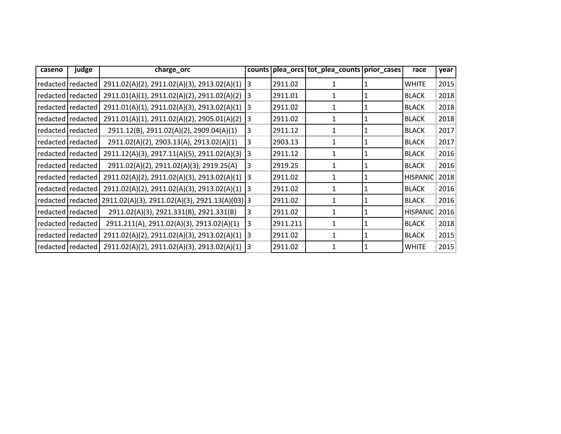| caseno | judge               | charge_orc                                                             |                |          | counts plea_orcs tot_plea_counts prior_cases |   | race         | year |
|--------|---------------------|------------------------------------------------------------------------|----------------|----------|----------------------------------------------|---|--------------|------|
|        | redacted   redacted | 2911.02(A)(2), 2911.02(A)(3), 2913.02(A)(1)                            | 13             | 2911.02  |                                              |   | <b>WHITE</b> | 2015 |
|        | redacted   redacted | 2911.01(A)(1), 2911.02(A)(2), 2911.02(A)(2)                            | 13             | 2911.01  | 1                                            | 1 | <b>BLACK</b> | 2018 |
|        | redacted   redacted | 2911.01(A)(1), 2911.02(A)(3), 2913.02(A)(1)                            | 3              | 2911.02  | 1                                            | 1 | <b>BLACK</b> | 2018 |
|        | redacted   redacted | 2911.01(A)(1), 2911.02(A)(2), 2905.01(A)(2)                            | 13             | 2911.02  |                                              |   | <b>BLACK</b> | 2018 |
|        | redacted   redacted | 2911.12(B), 2911.02(A)(2), 2909.04(A)(1)                               | 3              | 2911.12  | $\mathbf{1}$                                 |   | <b>BLACK</b> | 2017 |
|        | redacted   redacted | 2911.02(A)(2), 2903.13(A), 2913.02(A)(1)                               | 3              | 2903.13  | 1                                            | 1 | <b>BLACK</b> | 2017 |
|        | redacted   redacted | 2911.12(A)(3), 2917.11(A)(5), 2911.02(A)(3)                            | 13             | 2911.12  | 1                                            |   | <b>BLACK</b> | 2016 |
|        | redacted   redacted | 2911.02(A)(2), 2911.02(A)(3), 2919.25(A)                               | $\overline{3}$ | 2919.25  | 1                                            |   | <b>BLACK</b> | 2016 |
|        | redacted   redacted | 2911.02(A)(2), 2911.02(A)(3), 2913.02(A)(1)                            | 3              | 2911.02  | 1                                            | 1 | HISPANIC     | 2018 |
|        | redacted   redacted | 2911.02(A)(2), 2911.02(A)(3), 2913.02(A)(1)                            | 13             | 2911.02  |                                              | 1 | <b>BLACK</b> | 2016 |
|        |                     | redacted   redacted   2911.02(A)(3), 2911.02(A)(3), 2921.13(A)(03)   3 |                | 2911.02  | 1                                            |   | <b>BLACK</b> | 2016 |
|        | redacted   redacted | 2911.02(A)(3), 2921.331(B), 2921.331(B)                                | 3              | 2911.02  | 1                                            |   | HISPANIC     | 2016 |
|        | redacted   redacted | 2911.211(A), 2911.02(A)(3), 2913.02(A)(1)                              | 3              | 2911.211 | 1                                            | 1 | <b>BLACK</b> | 2018 |
|        | redacted   redacted | 2911.02(A)(2), 2911.02(A)(3), 2913.02(A)(1)                            | 3              | 2911.02  | $\mathbf{1}$                                 |   | <b>BLACK</b> | 2015 |
|        |                     | redacted   redacted   2911.02(A)(2), 2911.02(A)(3), 2913.02(A)(1)      | 13             | 2911.02  |                                              |   | <b>WHITE</b> | 2015 |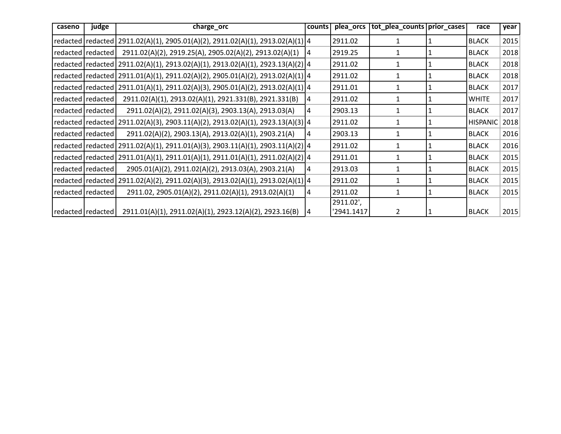| caseno | judge               | charge_orc                                                                           | counts | plea_orcs  | tot_plea_counts   prior_cases |              | race            | year |
|--------|---------------------|--------------------------------------------------------------------------------------|--------|------------|-------------------------------|--------------|-----------------|------|
|        |                     | redacted   redacted   2911.02(A)(1), 2905.01(A)(2), 2911.02(A)(1), 2913.02(A)(1)   4 |        | 2911.02    |                               |              | <b>BLACK</b>    | 2015 |
|        | redacted redacted   | 2911.02(A)(2), 2919.25(A), 2905.02(A)(2), 2913.02(A)(1)                              | 4      | 2919.25    | 1                             | 1            | <b>BLACK</b>    | 2018 |
|        |                     | redacted   redacted   2911.02(A)(1), 2913.02(A)(1), 2913.02(A)(1), 2923.13(A)(2)   4 |        | 2911.02    | 1                             | 1            | <b>BLACK</b>    | 2018 |
|        |                     | redacted redacted 2911.01(A)(1), 2911.02(A)(2), 2905.01(A)(2), 2913.02(A)(1) 4       |        | 2911.02    |                               |              | <b>BLACK</b>    | 2018 |
|        |                     | redacted redacted 2911.01(A)(1), 2911.02(A)(3), 2905.01(A)(2), 2913.02(A)(1) 4       |        | 2911.01    | 1                             | 1            | <b>BLACK</b>    | 2017 |
|        | redacted redacted   | 2911.02(A)(1), 2913.02(A)(1), 2921.331(B), 2921.331(B)                               | 4      | 2911.02    |                               | 1            | <b>WHITE</b>    | 2017 |
|        | redacted   redacted | 2911.02(A)(2), 2911.02(A)(3), 2903.13(A), 2913.03(A)                                 | 4      | 2903.13    | 1                             | 1            | <b>BLACK</b>    | 2017 |
|        |                     | redacted redacted 2911.02(A)(3), 2903.11(A)(2), 2913.02(A)(1), 2923.13(A)(3) 4       |        | 2911.02    | $\mathbf{1}$                  | 1            | <b>HISPANIC</b> | 2018 |
|        | redacted   redacted | 2911.02(A)(2), 2903.13(A), 2913.02(A)(1), 2903.21(A)                                 | 4      | 2903.13    | 1                             |              | <b>BLACK</b>    | 2016 |
|        |                     | redacted redacted 2911.02(A)(1), 2911.01(A)(3), 2903.11(A)(1), 2903.11(A)(2) 4       |        | 2911.02    |                               | 1            | <b>BLACK</b>    | 2016 |
|        |                     | redacted   redacted   2911.01(A)(1), 2911.01(A)(1), 2911.01(A)(1), 2911.02(A)(2)   4 |        | 2911.01    | $\mathbf{1}$                  | 1            | <b>BLACK</b>    | 2015 |
|        | redacted   redacted | 2905.01(A)(2), 2911.02(A)(2), 2913.03(A), 2903.21(A)                                 | 4      | 2913.03    | 1                             | $\mathbf{1}$ | <b>BLACK</b>    | 2015 |
|        |                     | redacted redacted 2911.02(A)(2), 2911.02(A)(3), 2913.02(A)(1), 2913.02(A)(1) 4       |        | 2911.02    | 1                             | 1            | <b>BLACK</b>    | 2015 |
|        | redacted   redacted | 2911.02, 2905.01(A)(2), 2911.02(A)(1), 2913.02(A)(1)                                 | 4      | 2911.02    | 1                             | 1            | <b>BLACK</b>    | 2015 |
|        |                     |                                                                                      |        | 2911.02',  |                               |              |                 |      |
|        | redacted redacted   | 2911.01(A)(1), 2911.02(A)(1), 2923.12(A)(2), 2923.16(B)                              | 14     | '2941.1417 | 2                             |              | <b>BLACK</b>    | 2015 |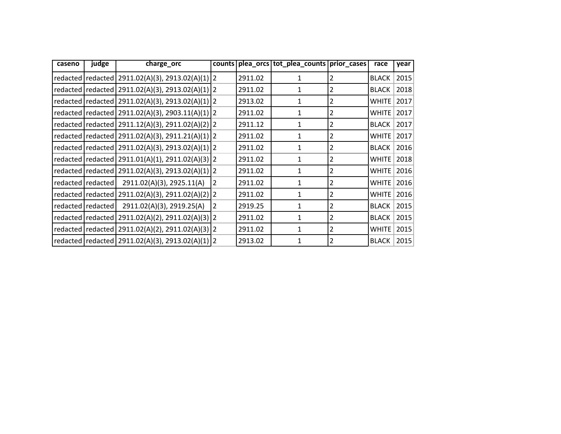| caseno | judge               | charge_orc                                             |                |         | counts   plea_orcs   tot_plea_counts   prior_cases |                | race         | year |
|--------|---------------------|--------------------------------------------------------|----------------|---------|----------------------------------------------------|----------------|--------------|------|
|        |                     | redacted   redacted   2911.02(A)(3), 2913.02(A)(1)   2 |                | 2911.02 |                                                    | 2              | <b>BLACK</b> | 2015 |
|        |                     | redacted   redacted   2911.02(A)(3), 2913.02(A)(1)   2 |                | 2911.02 | 1                                                  | 2              | <b>BLACK</b> | 2018 |
|        |                     | redacted   redacted   2911.02(A)(3), 2913.02(A)(1)   2 |                | 2913.02 | 1                                                  | $\overline{2}$ | <b>WHITE</b> | 2017 |
|        |                     | redacted   redacted   2911.02(A)(3), 2903.11(A)(1)   2 |                | 2911.02 | 1                                                  | 2              | <b>WHITE</b> | 2017 |
|        |                     | redacted   redacted   2911.12(A)(3), 2911.02(A)(2)   2 |                | 2911.12 | 1                                                  | $\overline{2}$ | <b>BLACK</b> | 2017 |
|        |                     | redacted   redacted   2911.02(A)(3), 2911.21(A)(1)   2 |                | 2911.02 | 1                                                  | $\overline{2}$ | <b>WHITE</b> | 2017 |
|        |                     | redacted   redacted   2911.02(A)(3), 2913.02(A)(1)   2 |                | 2911.02 | 1                                                  | 2              | <b>BLACK</b> | 2016 |
|        |                     | redacted   redacted   2911.01(A)(1), 2911.02(A)(3)   2 |                | 2911.02 | 1                                                  | $\overline{2}$ | <b>WHITE</b> | 2018 |
|        |                     | redacted   redacted   2911.02(A)(3), 2913.02(A)(1)   2 |                | 2911.02 | 1                                                  | $\overline{2}$ | <b>WHITE</b> | 2016 |
|        | redacted   redacted | 2911.02(A)(3), 2925.11(A)                              | $\overline{2}$ | 2911.02 | 1                                                  | 2              | <b>WHITE</b> | 2016 |
|        |                     | redacted   redacted   2911.02(A)(3), 2911.02(A)(2)   2 |                | 2911.02 | 1                                                  | $\overline{2}$ | <b>WHITE</b> | 2016 |
|        | redacted   redacted | 2911.02(A)(3), 2919.25(A)                              | $\overline{2}$ | 2919.25 | 1                                                  | $\overline{2}$ | <b>BLACK</b> | 2015 |
|        |                     | redacted   redacted   2911.02(A)(2), 2911.02(A)(3)   2 |                | 2911.02 |                                                    | 2              | <b>BLACK</b> | 2015 |
|        |                     | redacted   redacted   2911.02(A)(2), 2911.02(A)(3)   2 |                | 2911.02 | 1                                                  | $\overline{2}$ | <b>WHITE</b> | 2015 |
|        |                     | redacted   redacted   2911.02(A)(3), 2913.02(A)(1)   2 |                | 2913.02 | 1                                                  | $\overline{2}$ | <b>BLACK</b> | 2015 |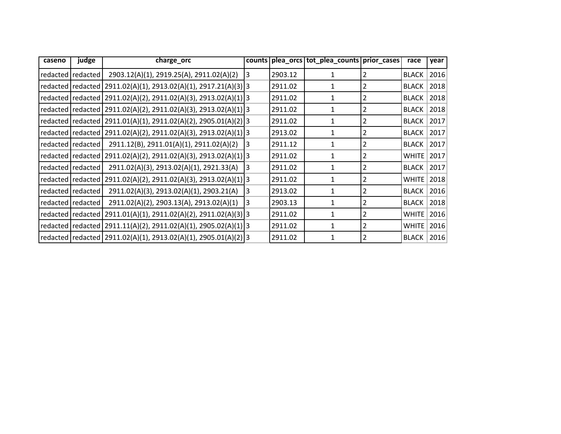| caseno | judge             | charge_orc                                                            |   |         | counts   plea_orcs   tot_plea_counts   prior_cases |   | race         | year |
|--------|-------------------|-----------------------------------------------------------------------|---|---------|----------------------------------------------------|---|--------------|------|
|        | redacted redacted | 2903.12(A)(1), 2919.25(A), 2911.02(A)(2)                              | 3 | 2903.12 |                                                    |   | <b>BLACK</b> | 2016 |
|        |                   | redacted  redacted   2911.02(A)(1), 2913.02(A)(1), 2917.21(A)(3)   3  |   | 2911.02 |                                                    |   | <b>BLACK</b> | 2018 |
|        |                   | redacted  redacted   2911.02(A)(2), 2911.02(A)(3), 2913.02(A)(1) 3    |   | 2911.02 |                                                    | 2 | <b>BLACK</b> | 2018 |
|        |                   | redacted redacted 2911.02(A)(2), 2911.02(A)(3), 2913.02(A)(1) 3       |   | 2911.02 |                                                    |   | <b>BLACK</b> | 2018 |
|        |                   | redacted redacted 2911.01(A)(1), 2911.02(A)(2), 2905.01(A)(2) 3       |   | 2911.02 |                                                    |   | <b>BLACK</b> | 2017 |
|        |                   | redacted redacted 2911.02(A)(2), 2911.02(A)(3), 2913.02(A)(1) 3       |   | 2913.02 |                                                    |   | <b>BLACK</b> | 2017 |
|        | redacted redacted | 2911.12(B), 2911.01(A)(1), 2911.02(A)(2)                              | 3 | 2911.12 | 1                                                  | 2 | <b>BLACK</b> | 2017 |
|        |                   | redacted   redacted   2911.02(A)(2), 2911.02(A)(3), 2913.02(A)(1)   3 |   | 2911.02 | 1                                                  | 2 | <b>WHITE</b> | 2017 |
|        | redacted redacted | 2911.02(A)(3), 2913.02(A)(1), 2921.33(A)                              | 3 | 2911.02 |                                                    |   | <b>BLACK</b> | 2017 |
|        |                   | redacted redacted 2911.02(A)(2), 2911.02(A)(3), 2913.02(A)(1) 3       |   | 2911.02 | 1                                                  |   | <b>WHITE</b> | 2018 |
|        | redacted redacted | 2911.02(A)(3), 2913.02(A)(1), 2903.21(A)                              | 3 | 2913.02 |                                                    |   | <b>BLACK</b> | 2016 |
|        | redacted redacted | 2911.02(A)(2), 2903.13(A), 2913.02(A)(1)                              | 3 | 2903.13 |                                                    |   | <b>BLACK</b> | 2018 |
|        |                   | redacted redacted 2911.01(A)(1), 2911.02(A)(2), 2911.02(A)(3) 3       |   | 2911.02 |                                                    | 2 | WHITE        | 2016 |
|        |                   | redacted   redacted   2911.11(A)(2), 2911.02(A)(1), 2905.02(A)(1) 3   |   | 2911.02 |                                                    |   | <b>WHITE</b> | 2016 |
|        |                   | redacted redacted 2911.02(A)(1), 2913.02(A)(1), 2905.01(A)(2) 3       |   | 2911.02 | 1                                                  | 2 | <b>BLACK</b> | 2016 |